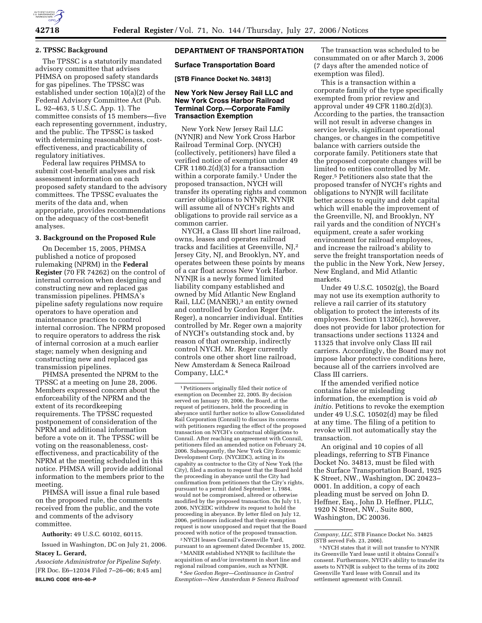

### **2. TPSSC Background**

The TPSSC is a statutorily mandated advisory committee that advises PHMSA on proposed safety standards for gas pipelines. The TPSSC was established under section 10(a)(2) of the Federal Advisory Committee Act (Pub. L. 92–463, 5 U.S.C. App. 1). The committee consists of 15 members—five each representing government, industry, and the public. The TPSSC is tasked with determining reasonableness, costeffectiveness, and practicability of regulatory initiatives.

Federal law requires PHMSA to submit cost-benefit analyses and risk assessment information on each proposed safety standard to the advisory committees. The TPSSC evaluates the merits of the data and, when appropriate, provides recommendations on the adequacy of the cost-benefit analyses.

### **3. Background on the Proposed Rule**

On December 15, 2005, PHMSA published a notice of proposed rulemaking (NPRM) in the **Federal Register** (70 FR 74262) on the control of internal corrosion when designing and constructing new and replaced gas transmission pipelines. PHMSA's pipeline safety regulations now require operators to have operation and maintenance practices to control internal corrosion. The NPRM proposed to require operators to address the risk of internal corrosion at a much earlier stage; namely when designing and constructing new and replaced gas transmission pipelines.

PHMSA presented the NPRM to the TPSSC at a meeting on June 28, 2006. Members expressed concern about the enforceability of the NPRM and the extent of its recordkeeping requirements. The TPSSC requested postponement of consideration of the NPRM and additional information before a vote on it. The TPSSC will be voting on the reasonableness, costeffectiveness, and practicability of the NPRM at the meeting scheduled in this notice. PHMSA will provide additional information to the members prior to the meeting.

PHMSA will issue a final rule based on the proposed rule, the comments received from the public, and the vote and comments of the advisory committee.

**Authority:** 49 U.S.C. 60102, 60115.

Issued in Washington, DC on July 21, 2006. **Stacey L. Gerard,** 

*Associate Administrator for Pipeline Safety.*  [FR Doc. E6–12034 Filed 7–26–06; 8:45 am] **BILLING CODE 4910–60–P** 

# **DEPARTMENT OF TRANSPORTATION**

# **Surface Transportation Board**

**[STB Finance Docket No. 34813]** 

### **New York New Jersey Rail LLC and New York Cross Harbor Railroad Terminal Corp.—Corporate Family Transaction Exemption**

New York New Jersey Rail LLC (NYNJR) and New York Cross Harbor Railroad Terminal Corp. (NYCH) (collectively, petitioners) have filed a verified notice of exemption under 49 CFR 1180.2(d)(3) for a transaction within a corporate family.<sup>1</sup> Under the proposed transaction, NYCH will transfer its operating rights and common carrier obligations to NYNJR. NYNJR will assume all of NYCH's rights and obligations to provide rail service as a common carrier.

NYCH, a Class III short line railroad, owns, leases and operates railroad tracks and facilities at Greenville, NJ,2 Jersey City, NJ, and Brooklyn, NY, and operates between these points by means of a car float across New York Harbor. NYNJR is a newly formed limited liability company established and owned by Mid Atlantic New England Rail, LLC (MANER),<sup>3</sup> an entity owned and controlled by Gordon Reger (Mr. Reger), a noncarrier individual. Entities controlled by Mr. Reger own a majority of NYCH's outstanding stock and, by reason of that ownership, indirectly control NYCH. Mr. Reger currently controls one other short line railroad, New Amsterdam & Seneca Railroad Company, LLC.4

2NYCH leases Conrail's Greenville Yard, pursuant to an agreement dated December 15, 2002. 3MANER established NYNJR to facililtate the

acquisition of and/or investment in short line and regional railroad companies, such as NYNJR. 4*See Gordon Reger—Continuance in Control* 

*Exemption—New Amsterdam & Seneca Railroad* 

The transaction was scheduled to be consummated on or after March 3, 2006 (7 days after the amended notice of exemption was filed).

This is a transaction within a corporate family of the type specifically exempted from prior review and approval under 49 CFR 1180.2(d)(3). According to the parties, the transaction will not result in adverse changes in service levels, significant operational changes, or changes in the competitive balance with carriers outside the corporate family. Petitioners state that the proposed corporate changes will be limited to entities controlled by Mr. Reger.5 Petitioners also state that the proposed transfer of NYCH's rights and obligations to NYNJR will facilitate better access to equity and debt capital which will enable the improvement of the Greenville, NJ, and Brooklyn, NY rail yards and the condition of NYCH's equipment, create a safer working environment for railroad employees, and increase the railroad's ability to serve the freight transportation needs of the public in the New York, New Jersey, New England, and Mid Atlantic markets.

Under 49 U.S.C. 10502(g), the Board may not use its exemption authority to relieve a rail carrier of its statutory obligation to protect the interests of its employees. Section 11326(c), however, does not provide for labor protection for transactions under sections 11324 and 11325 that involve only Class III rail carriers. Accordingly, the Board may not impose labor protective conditions here, because all of the carriers involved are Class III carriers.

If the amended verified notice contains false or misleading information, the exemption is void *ab initio.* Petitions to revoke the exemption under 49 U.S.C. 10502(d) may be filed at any time. The filing of a petition to revoke will not automatically stay the transaction.

An original and 10 copies of all pleadings, referring to STB Finance Docket No. 34813, must be filed with the Surface Transportation Board, 1925 K Street, NW., Washington, DC 20423– 0001. In addition, a copy of each pleading must be served on John D. Heffner, Esq., John D. Heffner, PLLC, 1920 N Street, NW., Suite 800, Washington, DC 20036.

<sup>1</sup>Petitioners originally filed their notice of exemption on December 22, 2005. By decision served on January 10, 2006, the Board, at the request of petitioners, held the proceeding in abeyance until further notice to allow Consolidated Rail Corporation (Conrail) to discuss its concerns with petitioners regarding the effect of the proposed transaction on NYCH's contractual obligations to Conrail. After reaching an agreement with Conrail, petitioners filed an amended notice on February 24, 2006. Subsequently, the New York City Economic Development Corp. (NYCEDC), acting in its capabity as contractor to the City of New York (the City), filed a motion to request that the Board hold the proceeding in abeyance until the City had confirmation from petitioners that the City's rights, pursuant to a permit dated September 1, 1984, would not be compromised, altered or otherwise modified by the proposed transaction. On July 11, 2006, NYCEDC withdrew its request to hold the proceeding in abeyance. By letter filed on July 12, 2006, petitioners indicated that their exemption request is now unopposed and requet that the Board proceed with notice of the proposed transaction.

*Company, LLC,* STB Finance Docket No. 34825 (STB served Feb. 23, 2006).

<sup>5</sup>NYCH states that it will not transfer to NYNJR its Greenville Yard lease until it obtains Conrail's consent. Furthermore, NYCH's ability to transfer its assets to NYNJR is subject to the terms of its 2002 Greenville Yard lease with Conrail and its settlement agreement with Conrail.